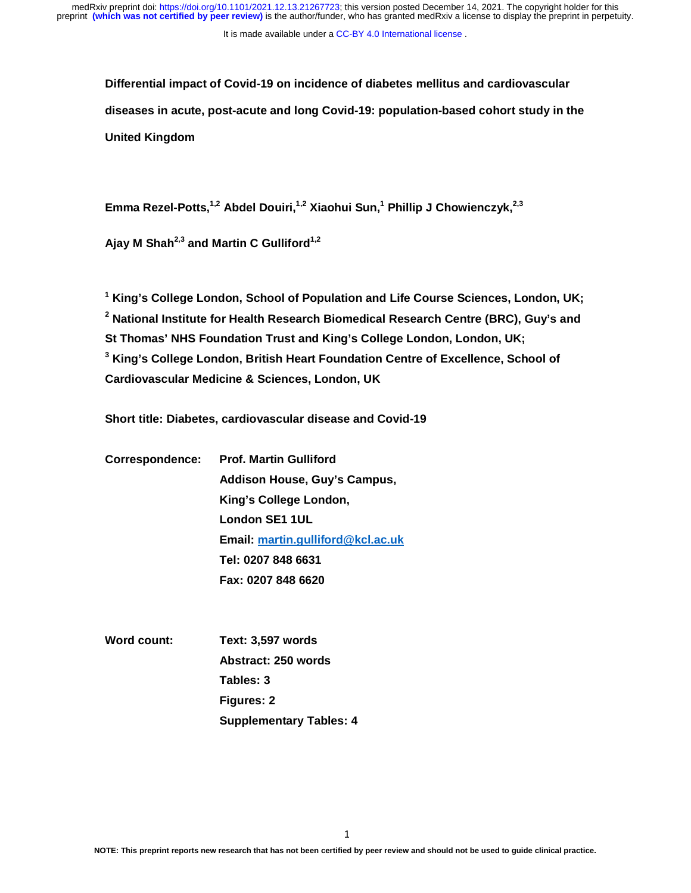It is made available under a CC-BY 4.0 International license.

**Differential impact of Covid-19 on incidence of diabetes mellitus and cardiovascular diseases in acute, post-acute and long Covid-19: population-based cohort study in the United Kingdom** 

Emma Rezel-Potts,<sup>1,2</sup> Abdel Douiri,<sup>1,2</sup> Xiaohui Sun,<sup>1</sup> Phillip J Chowienczyk,<sup>2,3</sup>

Ajay M Shah<sup>2,3</sup> and Martin C Gulliford<sup>1,2</sup>

**1 King's College London, School of Population and Life Course Sciences, London, UK; 2 National Institute for Health Research Biomedical Research Centre (BRC), Guy's and St Thomas' NHS Foundation Trust and King's College London, London, UK; 3 King's College London, British Heart Foundation Centre of Excellence, School of Cardiovascular Medicine & Sciences, London, UK** 

**Short title: Diabetes, cardiovascular disease and Covid-19** 

| Correspondence: Prof. Martin Gulliford |  |  |  |  |
|----------------------------------------|--|--|--|--|
| Addison House, Guy's Campus,           |  |  |  |  |
| King's College London,                 |  |  |  |  |
| London SE1 1UL                         |  |  |  |  |
| Email: martin.gulliford@kcl.ac.uk      |  |  |  |  |
| Tel: 0207 848 6631                     |  |  |  |  |
| Fax: 0207 848 6620                     |  |  |  |  |
|                                        |  |  |  |  |

| <b>Word count:</b> | <b>Text: 3,597 words</b>       |  |  |  |
|--------------------|--------------------------------|--|--|--|
|                    | Abstract: 250 words            |  |  |  |
|                    | Tables: 3                      |  |  |  |
|                    | Figures: 2                     |  |  |  |
|                    | <b>Supplementary Tables: 4</b> |  |  |  |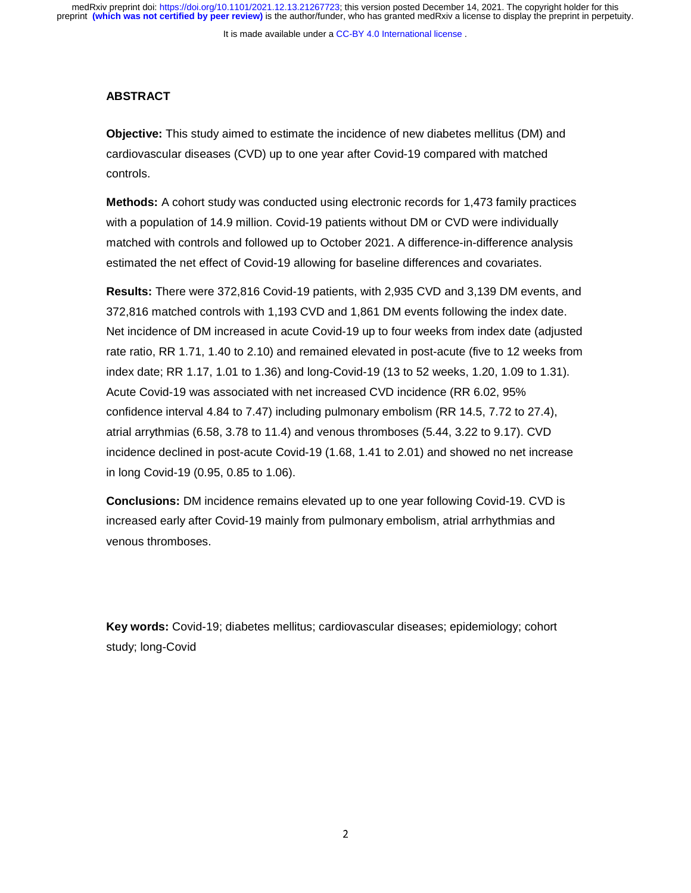It is made available under a [CC-BY 4.0 International license](http://creativecommons.org/licenses/by/4.0/) .

## **ABSTRACT**

**Objective:** This study aimed to estimate the incidence of new diabetes mellitus (DM) and cardiovascular diseases (CVD) up to one year after Covid-19 compared with matched controls.

**Methods:** A cohort study was conducted using electronic records for 1,473 family practices with a population of 14.9 million. Covid-19 patients without DM or CVD were individually matched with controls and followed up to October 2021. A difference-in-difference analysis estimated the net effect of Covid-19 allowing for baseline differences and covariates.

**Results:** There were 372,816 Covid-19 patients, with 2,935 CVD and 3,139 DM events, and 372,816 matched controls with 1,193 CVD and 1,861 DM events following the index date. Net incidence of DM increased in acute Covid-19 up to four weeks from index date (adjusted rate ratio, RR 1.71, 1.40 to 2.10) and remained elevated in post-acute (five to 12 weeks from index date; RR 1.17, 1.01 to 1.36) and long-Covid-19 (13 to 52 weeks, 1.20, 1.09 to 1.31). Acute Covid-19 was associated with net increased CVD incidence (RR 6.02, 95% confidence interval 4.84 to 7.47) including pulmonary embolism (RR 14.5, 7.72 to 27.4), atrial arrythmias (6.58, 3.78 to 11.4) and venous thromboses (5.44, 3.22 to 9.17). CVD incidence declined in post-acute Covid-19 (1.68, 1.41 to 2.01) and showed no net increase in long Covid-19 (0.95, 0.85 to 1.06).

**Conclusions:** DM incidence remains elevated up to one year following Covid-19. CVD is increased early after Covid-19 mainly from pulmonary embolism, atrial arrhythmias and venous thromboses.

**Key words:** Covid-19; diabetes mellitus; cardiovascular diseases; epidemiology; cohort study; long-Covid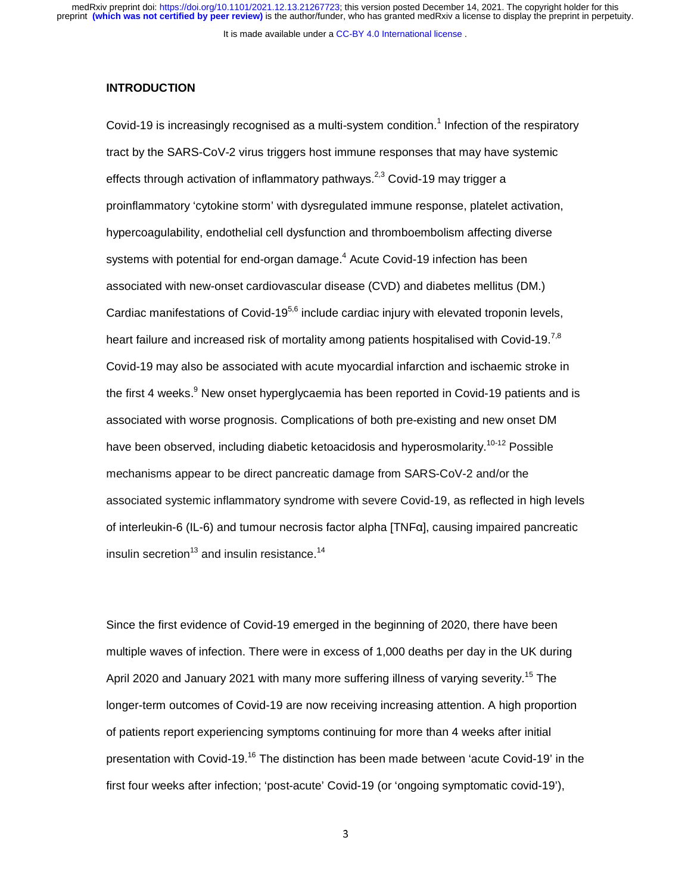It is made available under a [CC-BY 4.0 International license](http://creativecommons.org/licenses/by/4.0/) .

### **INTRODUCTION**

Covid-19 is increasingly recognised as a multi-system condition.<sup>1</sup> Infection of the respiratory tract by the SARS-CoV-2 virus triggers host immune responses that may have systemic effects through activation of inflammatory pathways.<sup>2,3</sup> Covid-19 may trigger a proinflammatory 'cytokine storm' with dysregulated immune response, platelet activation, hypercoagulability, endothelial cell dysfunction and thromboembolism affecting diverse systems with potential for end-organ damage. $^4$  Acute Covid-19 infection has been associated with new-onset cardiovascular disease (CVD) and diabetes mellitus (DM.) Cardiac manifestations of Covid-19<sup>5,6</sup> include cardiac injury with elevated troponin levels, heart failure and increased risk of mortality among patients hospitalised with Covid-19.<sup>7,8</sup> Covid-19 may also be associated with acute myocardial infarction and ischaemic stroke in the first 4 weeks.<sup>9</sup> New onset hyperglycaemia has been reported in Covid-19 patients and is associated with worse prognosis. Complications of both pre-existing and new onset DM have been observed, including diabetic ketoacidosis and hyperosmolarity.<sup>10-12</sup> Possible mechanisms appear to be direct pancreatic damage from SARS-CoV-2 and/or the associated systemic inflammatory syndrome with severe Covid-19, as reflected in high levels of interleukin-6 (IL-6) and tumour necrosis factor alpha [TNFα], causing impaired pancreatic insulin secretion<sup>13</sup> and insulin resistance.<sup>14</sup>

Since the first evidence of Covid-19 emerged in the beginning of 2020, there have been multiple waves of infection. There were in excess of 1,000 deaths per day in the UK during April 2020 and January 2021 with many more suffering illness of varying severity.<sup>15</sup> The longer-term outcomes of Covid-19 are now receiving increasing attention. A high proportion of patients report experiencing symptoms continuing for more than 4 weeks after initial presentation with Covid-19.16 The distinction has been made between 'acute Covid-19' in the first four weeks after infection; 'post-acute' Covid-19 (or 'ongoing symptomatic covid-19'),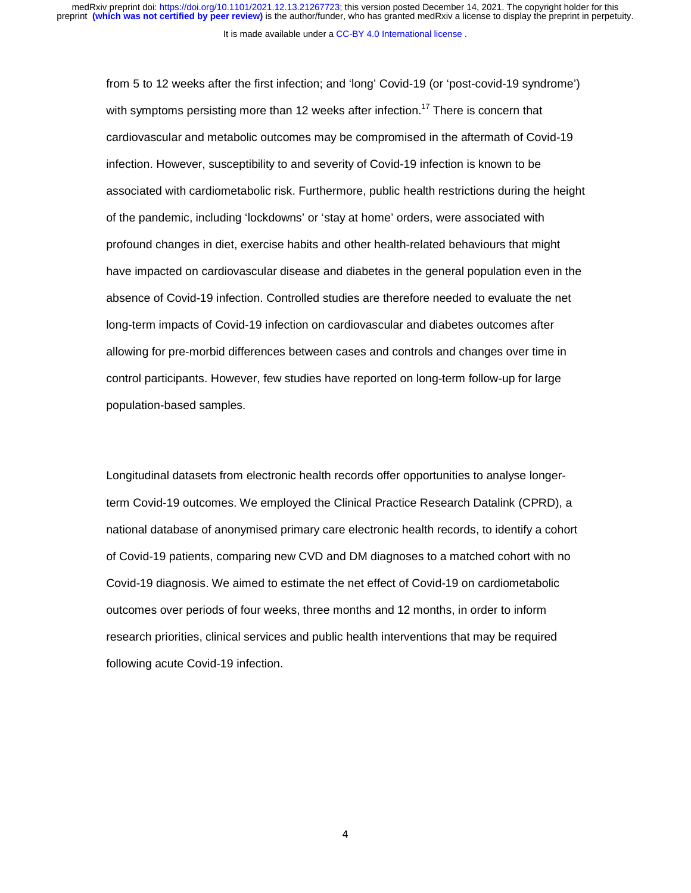It is made available under a [CC-BY 4.0 International license](http://creativecommons.org/licenses/by/4.0/) .

from 5 to 12 weeks after the first infection; and 'long' Covid-19 (or 'post-covid-19 syndrome') with symptoms persisting more than 12 weeks after infection.<sup>17</sup> There is concern that cardiovascular and metabolic outcomes may be compromised in the aftermath of Covid-19 infection. However, susceptibility to and severity of Covid-19 infection is known to be associated with cardiometabolic risk. Furthermore, public health restrictions during the height of the pandemic, including 'lockdowns' or 'stay at home' orders, were associated with profound changes in diet, exercise habits and other health-related behaviours that might have impacted on cardiovascular disease and diabetes in the general population even in the absence of Covid-19 infection. Controlled studies are therefore needed to evaluate the net long-term impacts of Covid-19 infection on cardiovascular and diabetes outcomes after allowing for pre-morbid differences between cases and controls and changes over time in control participants. However, few studies have reported on long-term follow-up for large population-based samples.

Longitudinal datasets from electronic health records offer opportunities to analyse longerterm Covid-19 outcomes. We employed the Clinical Practice Research Datalink (CPRD), a national database of anonymised primary care electronic health records, to identify a cohort of Covid-19 patients, comparing new CVD and DM diagnoses to a matched cohort with no Covid-19 diagnosis. We aimed to estimate the net effect of Covid-19 on cardiometabolic outcomes over periods of four weeks, three months and 12 months, in order to inform research priorities, clinical services and public health interventions that may be required following acute Covid-19 infection.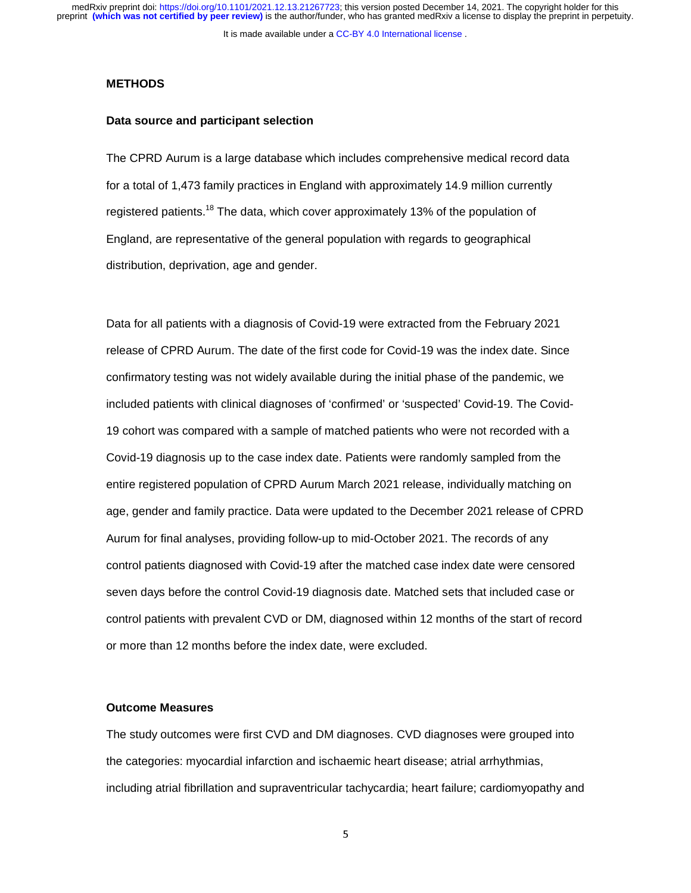It is made available under a [CC-BY 4.0 International license](http://creativecommons.org/licenses/by/4.0/) .

#### **METHODS**

#### **Data source and participant selection**

The CPRD Aurum is a large database which includes comprehensive medical record data for a total of 1,473 family practices in England with approximately 14.9 million currently registered patients.<sup>18</sup> The data, which cover approximately 13% of the population of England, are representative of the general population with regards to geographical distribution, deprivation, age and gender.

Data for all patients with a diagnosis of Covid-19 were extracted from the February 2021 release of CPRD Aurum. The date of the first code for Covid-19 was the index date. Since confirmatory testing was not widely available during the initial phase of the pandemic, we included patients with clinical diagnoses of 'confirmed' or 'suspected' Covid-19. The Covid-19 cohort was compared with a sample of matched patients who were not recorded with a Covid-19 diagnosis up to the case index date. Patients were randomly sampled from the entire registered population of CPRD Aurum March 2021 release, individually matching on age, gender and family practice. Data were updated to the December 2021 release of CPRD Aurum for final analyses, providing follow-up to mid-October 2021. The records of any control patients diagnosed with Covid-19 after the matched case index date were censored seven days before the control Covid-19 diagnosis date. Matched sets that included case or control patients with prevalent CVD or DM, diagnosed within 12 months of the start of record or more than 12 months before the index date, were excluded.

#### **Outcome Measures**

The study outcomes were first CVD and DM diagnoses. CVD diagnoses were grouped into the categories: myocardial infarction and ischaemic heart disease; atrial arrhythmias, including atrial fibrillation and supraventricular tachycardia; heart failure; cardiomyopathy and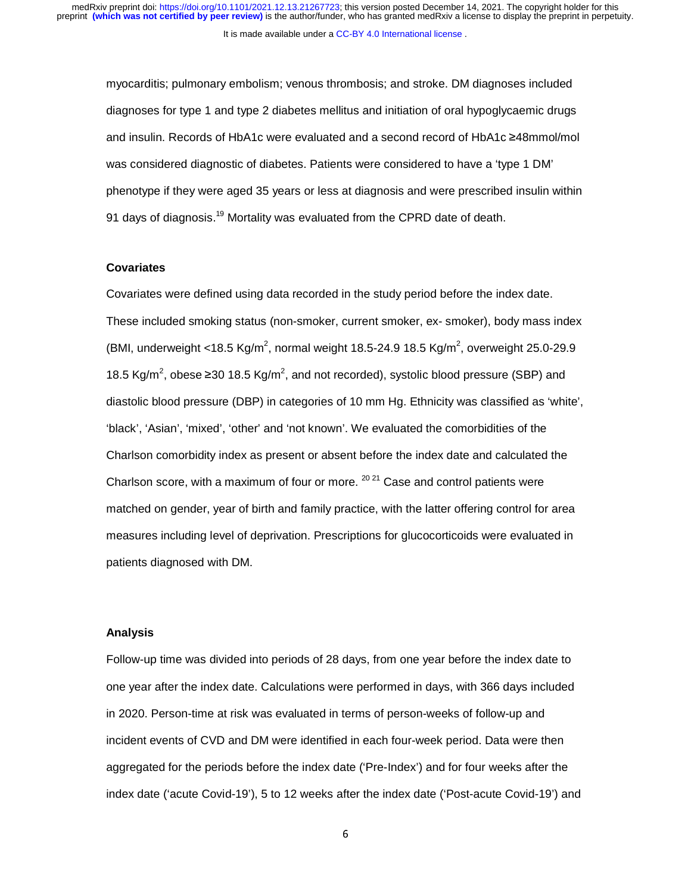myocarditis; pulmonary embolism; venous thrombosis; and stroke. DM diagnoses included diagnoses for type 1 and type 2 diabetes mellitus and initiation of oral hypoglycaemic drugs and insulin. Records of HbA1c were evaluated and a second record of HbA1c ≥48mmol/mol was considered diagnostic of diabetes. Patients were considered to have a 'type 1 DM' phenotype if they were aged 35 years or less at diagnosis and were prescribed insulin within 91 days of diagnosis.<sup>19</sup> Mortality was evaluated from the CPRD date of death.

## **Covariates**

Covariates were defined using data recorded in the study period before the index date. These included smoking status (non-smoker, current smoker, ex- smoker), body mass index (BMI, underweight <18.5 Kg/m<sup>2</sup>, normal weight 18.5-24.9 18.5 Kg/m<sup>2</sup>, overweight 25.0-29.9 18.5 Kg/m<sup>2</sup>, obese ≥30 18.5 Kg/m<sup>2</sup>, and not recorded), systolic blood pressure (SBP) and diastolic blood pressure (DBP) in categories of 10 mm Hg. Ethnicity was classified as 'white', 'black', 'Asian', 'mixed', 'other' and 'not known'. We evaluated the comorbidities of the Charlson comorbidity index as present or absent before the index date and calculated the Charlson score, with a maximum of four or more.  $2021$  Case and control patients were matched on gender, year of birth and family practice, with the latter offering control for area measures including level of deprivation. Prescriptions for glucocorticoids were evaluated in patients diagnosed with DM.

#### **Analysis**

Follow-up time was divided into periods of 28 days, from one year before the index date to one year after the index date. Calculations were performed in days, with 366 days included in 2020. Person-time at risk was evaluated in terms of person-weeks of follow-up and incident events of CVD and DM were identified in each four-week period. Data were then aggregated for the periods before the index date ('Pre-Index') and for four weeks after the index date ('acute Covid-19'), 5 to 12 weeks after the index date ('Post-acute Covid-19') and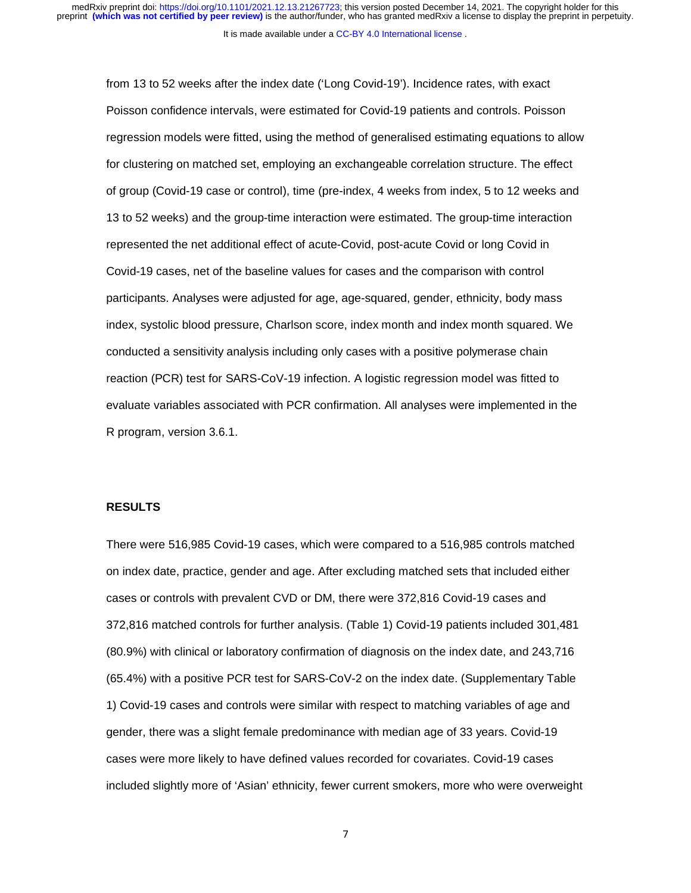It is made available under a CC-BY 4.0 International license.

from 13 to 52 weeks after the index date ('Long Covid-19'). Incidence rates, with exact Poisson confidence intervals, were estimated for Covid-19 patients and controls. Poisson regression models were fitted, using the method of generalised estimating equations to allow for clustering on matched set, employing an exchangeable correlation structure. The effect of group (Covid-19 case or control), time (pre-index, 4 weeks from index, 5 to 12 weeks and 13 to 52 weeks) and the group-time interaction were estimated. The group-time interaction represented the net additional effect of acute-Covid, post-acute Covid or long Covid in Covid-19 cases, net of the baseline values for cases and the comparison with control participants. Analyses were adjusted for age, age-squared, gender, ethnicity, body mass index, systolic blood pressure, Charlson score, index month and index month squared. We conducted a sensitivity analysis including only cases with a positive polymerase chain reaction (PCR) test for SARS-CoV-19 infection. A logistic regression model was fitted to evaluate variables associated with PCR confirmation. All analyses were implemented in the R program, version 3.6.1.

## **RESULTS**

There were 516,985 Covid-19 cases, which were compared to a 516,985 controls matched on index date, practice, gender and age. After excluding matched sets that included either cases or controls with prevalent CVD or DM, there were 372,816 Covid-19 cases and 372,816 matched controls for further analysis. (Table 1) Covid-19 patients included 301,481 (80.9%) with clinical or laboratory confirmation of diagnosis on the index date, and 243,716 (65.4%) with a positive PCR test for SARS-CoV-2 on the index date. (Supplementary Table 1) Covid-19 cases and controls were similar with respect to matching variables of age and gender, there was a slight female predominance with median age of 33 years. Covid-19 cases were more likely to have defined values recorded for covariates. Covid-19 cases included slightly more of 'Asian' ethnicity, fewer current smokers, more who were overweight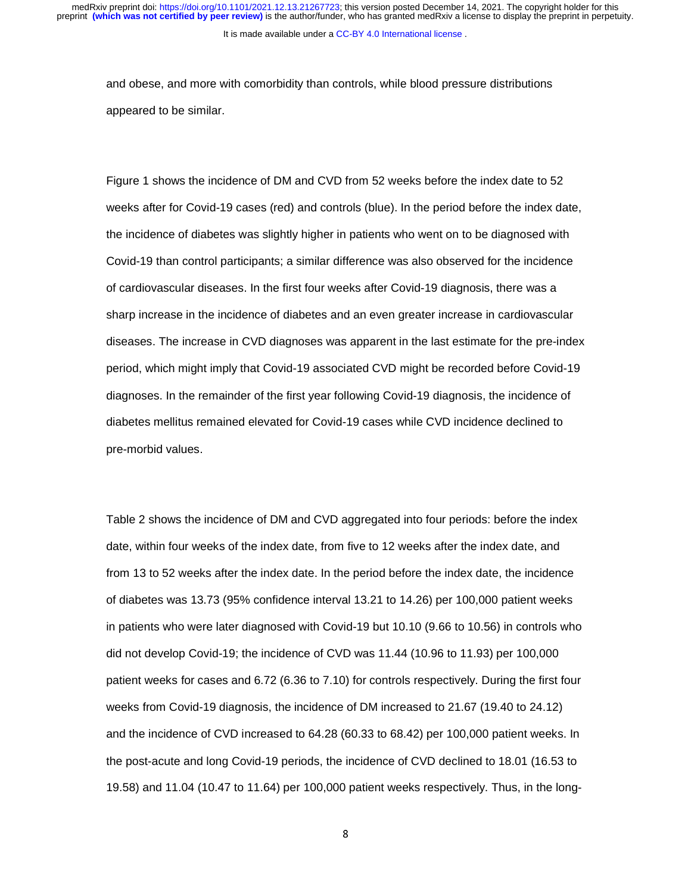and obese, and more with comorbidity than controls, while blood pressure distributions appeared to be similar.

Figure 1 shows the incidence of DM and CVD from 52 weeks before the index date to 52 weeks after for Covid-19 cases (red) and controls (blue). In the period before the index date, the incidence of diabetes was slightly higher in patients who went on to be diagnosed with Covid-19 than control participants; a similar difference was also observed for the incidence of cardiovascular diseases. In the first four weeks after Covid-19 diagnosis, there was a sharp increase in the incidence of diabetes and an even greater increase in cardiovascular diseases. The increase in CVD diagnoses was apparent in the last estimate for the pre-index period, which might imply that Covid-19 associated CVD might be recorded before Covid-19 diagnoses. In the remainder of the first year following Covid-19 diagnosis, the incidence of diabetes mellitus remained elevated for Covid-19 cases while CVD incidence declined to pre-morbid values.

Table 2 shows the incidence of DM and CVD aggregated into four periods: before the index date, within four weeks of the index date, from five to 12 weeks after the index date, and from 13 to 52 weeks after the index date. In the period before the index date, the incidence of diabetes was 13.73 (95% confidence interval 13.21 to 14.26) per 100,000 patient weeks in patients who were later diagnosed with Covid-19 but 10.10 (9.66 to 10.56) in controls who did not develop Covid-19; the incidence of CVD was 11.44 (10.96 to 11.93) per 100,000 patient weeks for cases and 6.72 (6.36 to 7.10) for controls respectively. During the first four weeks from Covid-19 diagnosis, the incidence of DM increased to 21.67 (19.40 to 24.12) and the incidence of CVD increased to 64.28 (60.33 to 68.42) per 100,000 patient weeks. In the post-acute and long Covid-19 periods, the incidence of CVD declined to 18.01 (16.53 to 19.58) and 11.04 (10.47 to 11.64) per 100,000 patient weeks respectively. Thus, in the long-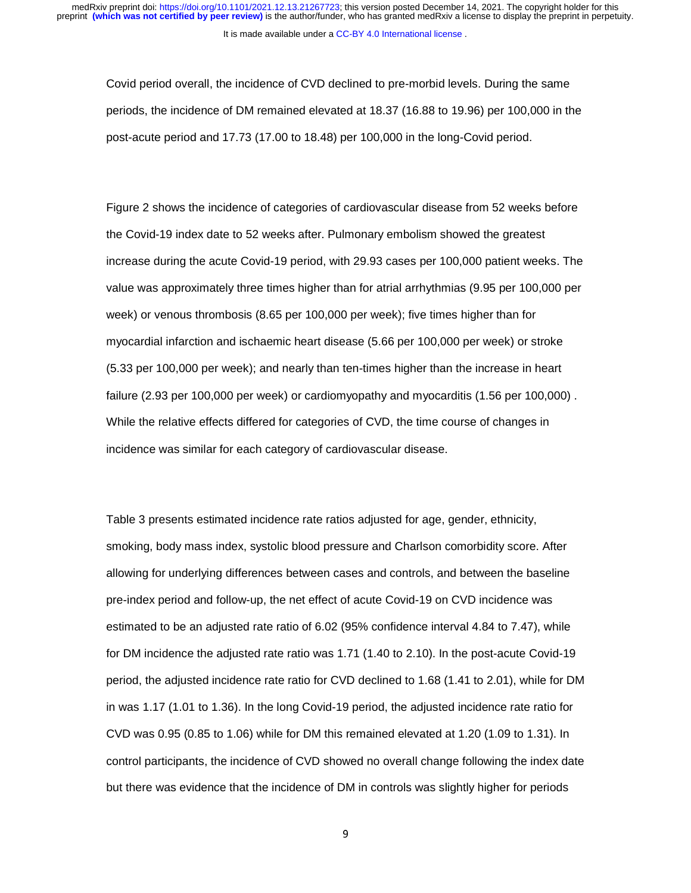Covid period overall, the incidence of CVD declined to pre-morbid levels. During the same periods, the incidence of DM remained elevated at 18.37 (16.88 to 19.96) per 100,000 in the post-acute period and 17.73 (17.00 to 18.48) per 100,000 in the long-Covid period.

Figure 2 shows the incidence of categories of cardiovascular disease from 52 weeks before the Covid-19 index date to 52 weeks after. Pulmonary embolism showed the greatest increase during the acute Covid-19 period, with 29.93 cases per 100,000 patient weeks. The value was approximately three times higher than for atrial arrhythmias (9.95 per 100,000 per week) or venous thrombosis (8.65 per 100,000 per week); five times higher than for myocardial infarction and ischaemic heart disease (5.66 per 100,000 per week) or stroke (5.33 per 100,000 per week); and nearly than ten-times higher than the increase in heart failure (2.93 per 100,000 per week) or cardiomyopathy and myocarditis (1.56 per 100,000) . While the relative effects differed for categories of CVD, the time course of changes in incidence was similar for each category of cardiovascular disease.

Table 3 presents estimated incidence rate ratios adjusted for age, gender, ethnicity, smoking, body mass index, systolic blood pressure and Charlson comorbidity score. After allowing for underlying differences between cases and controls, and between the baseline pre-index period and follow-up, the net effect of acute Covid-19 on CVD incidence was estimated to be an adjusted rate ratio of 6.02 (95% confidence interval 4.84 to 7.47), while for DM incidence the adjusted rate ratio was 1.71 (1.40 to 2.10). In the post-acute Covid-19 period, the adjusted incidence rate ratio for CVD declined to 1.68 (1.41 to 2.01), while for DM in was 1.17 (1.01 to 1.36). In the long Covid-19 period, the adjusted incidence rate ratio for CVD was 0.95 (0.85 to 1.06) while for DM this remained elevated at 1.20 (1.09 to 1.31). In control participants, the incidence of CVD showed no overall change following the index date but there was evidence that the incidence of DM in controls was slightly higher for periods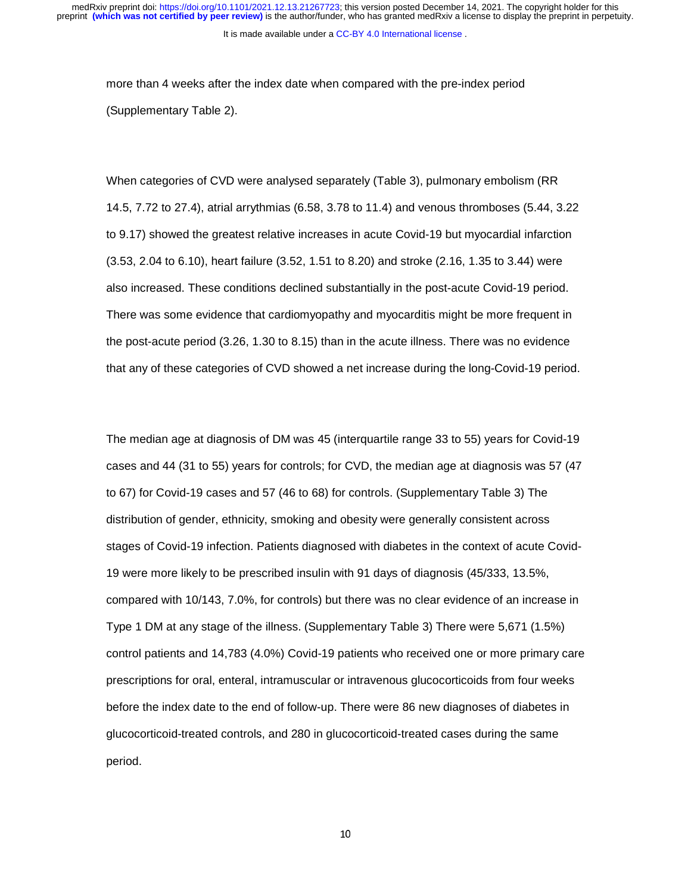more than 4 weeks after the index date when compared with the pre-index period (Supplementary Table 2).

When categories of CVD were analysed separately (Table 3), pulmonary embolism (RR 14.5, 7.72 to 27.4), atrial arrythmias (6.58, 3.78 to 11.4) and venous thromboses (5.44, 3.22 to 9.17) showed the greatest relative increases in acute Covid-19 but myocardial infarction (3.53, 2.04 to 6.10), heart failure (3.52, 1.51 to 8.20) and stroke (2.16, 1.35 to 3.44) were also increased. These conditions declined substantially in the post-acute Covid-19 period. There was some evidence that cardiomyopathy and myocarditis might be more frequent in the post-acute period (3.26, 1.30 to 8.15) than in the acute illness. There was no evidence that any of these categories of CVD showed a net increase during the long-Covid-19 period.

The median age at diagnosis of DM was 45 (interquartile range 33 to 55) years for Covid-19 cases and 44 (31 to 55) years for controls; for CVD, the median age at diagnosis was 57 (47 to 67) for Covid-19 cases and 57 (46 to 68) for controls. (Supplementary Table 3) The distribution of gender, ethnicity, smoking and obesity were generally consistent across stages of Covid-19 infection. Patients diagnosed with diabetes in the context of acute Covid-19 were more likely to be prescribed insulin with 91 days of diagnosis (45/333, 13.5%, compared with 10/143, 7.0%, for controls) but there was no clear evidence of an increase in Type 1 DM at any stage of the illness. (Supplementary Table 3) There were 5,671 (1.5%) control patients and 14,783 (4.0%) Covid-19 patients who received one or more primary care prescriptions for oral, enteral, intramuscular or intravenous glucocorticoids from four weeks before the index date to the end of follow-up. There were 86 new diagnoses of diabetes in glucocorticoid-treated controls, and 280 in glucocorticoid-treated cases during the same period.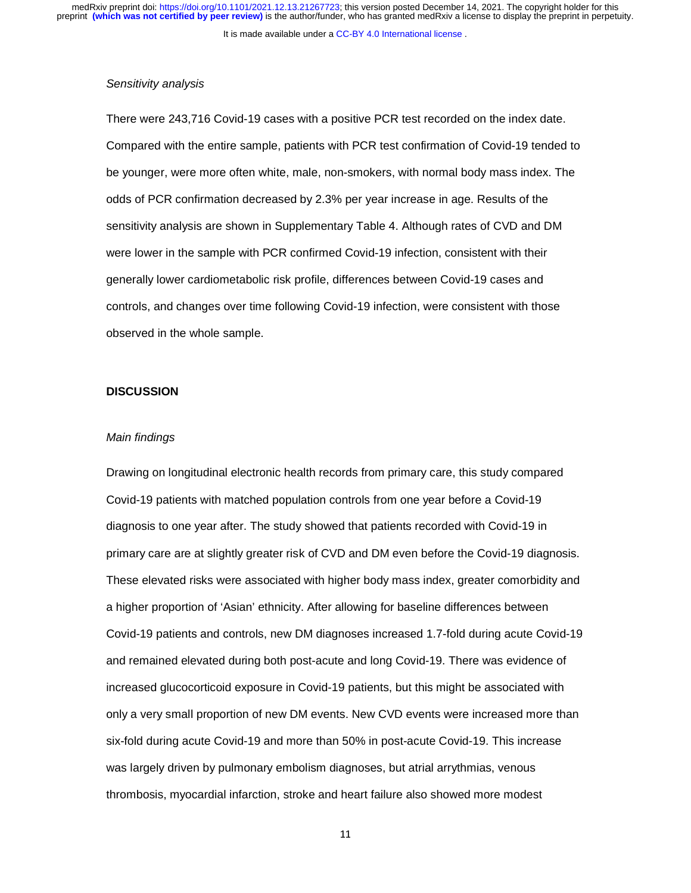It is made available under a [CC-BY 4.0 International license](http://creativecommons.org/licenses/by/4.0/) .

#### *Sensitivity analysis*

There were 243,716 Covid-19 cases with a positive PCR test recorded on the index date. Compared with the entire sample, patients with PCR test confirmation of Covid-19 tended to be younger, were more often white, male, non-smokers, with normal body mass index. The odds of PCR confirmation decreased by 2.3% per year increase in age. Results of the sensitivity analysis are shown in Supplementary Table 4. Although rates of CVD and DM were lower in the sample with PCR confirmed Covid-19 infection, consistent with their generally lower cardiometabolic risk profile, differences between Covid-19 cases and controls, and changes over time following Covid-19 infection, were consistent with those observed in the whole sample.

## **DISCUSSION**

#### *Main findings*

Drawing on longitudinal electronic health records from primary care, this study compared Covid-19 patients with matched population controls from one year before a Covid-19 diagnosis to one year after. The study showed that patients recorded with Covid-19 in primary care are at slightly greater risk of CVD and DM even before the Covid-19 diagnosis. These elevated risks were associated with higher body mass index, greater comorbidity and a higher proportion of 'Asian' ethnicity. After allowing for baseline differences between Covid-19 patients and controls, new DM diagnoses increased 1.7-fold during acute Covid-19 and remained elevated during both post-acute and long Covid-19. There was evidence of increased glucocorticoid exposure in Covid-19 patients, but this might be associated with only a very small proportion of new DM events. New CVD events were increased more than six-fold during acute Covid-19 and more than 50% in post-acute Covid-19. This increase was largely driven by pulmonary embolism diagnoses, but atrial arrythmias, venous thrombosis, myocardial infarction, stroke and heart failure also showed more modest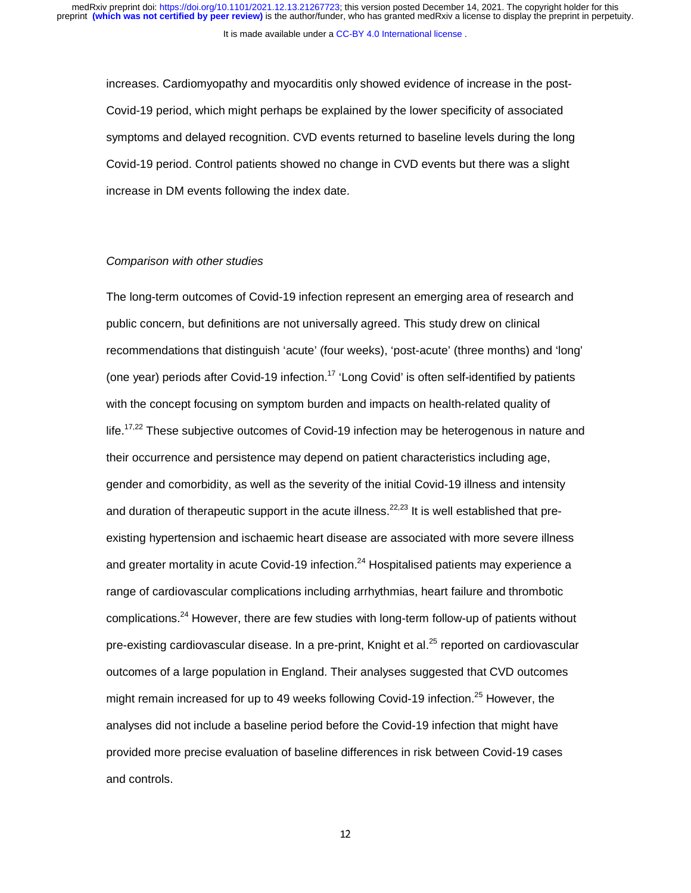increases. Cardiomyopathy and myocarditis only showed evidence of increase in the post-Covid-19 period, which might perhaps be explained by the lower specificity of associated symptoms and delayed recognition. CVD events returned to baseline levels during the long Covid-19 period. Control patients showed no change in CVD events but there was a slight increase in DM events following the index date.

### *Comparison with other studies*

The long-term outcomes of Covid-19 infection represent an emerging area of research and public concern, but definitions are not universally agreed. This study drew on clinical recommendations that distinguish 'acute' (four weeks), 'post-acute' (three months) and 'long' (one year) periods after Covid-19 infection.<sup>17</sup> 'Long Covid' is often self-identified by patients with the concept focusing on symptom burden and impacts on health-related quality of life.<sup>17,22</sup> These subjective outcomes of Covid-19 infection may be heterogenous in nature and their occurrence and persistence may depend on patient characteristics including age, gender and comorbidity, as well as the severity of the initial Covid-19 illness and intensity and duration of therapeutic support in the acute illness.<sup>22,23</sup> It is well established that preexisting hypertension and ischaemic heart disease are associated with more severe illness and greater mortality in acute Covid-19 infection. $^{24}$  Hospitalised patients may experience a range of cardiovascular complications including arrhythmias, heart failure and thrombotic complications.<sup>24</sup> However, there are few studies with long-term follow-up of patients without pre-existing cardiovascular disease. In a pre-print, Knight et al.<sup>25</sup> reported on cardiovascular outcomes of a large population in England. Their analyses suggested that CVD outcomes might remain increased for up to 49 weeks following Covid-19 infection.<sup>25</sup> However, the analyses did not include a baseline period before the Covid-19 infection that might have provided more precise evaluation of baseline differences in risk between Covid-19 cases and controls.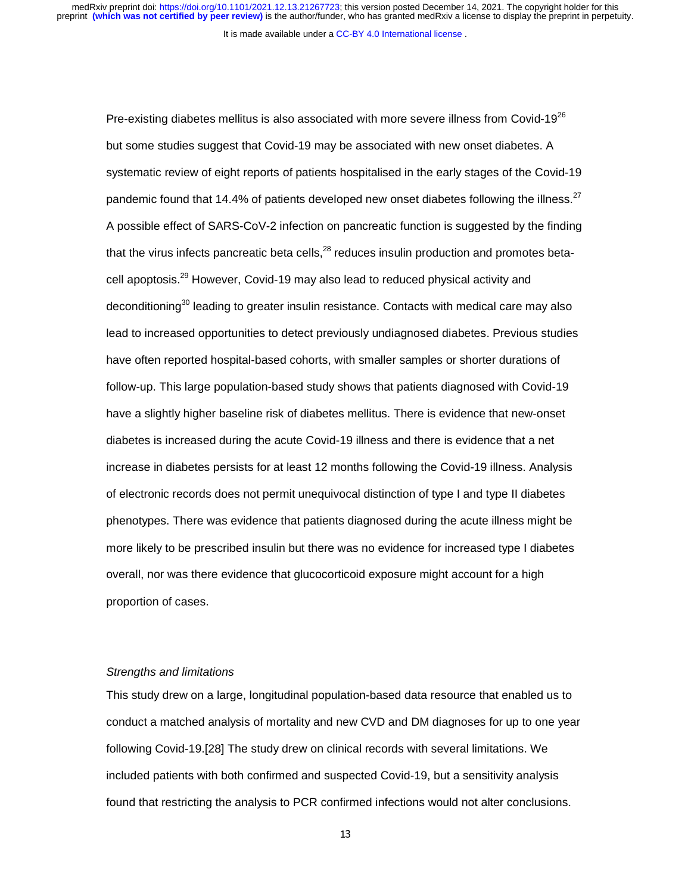It is made available under a [CC-BY 4.0 International license](http://creativecommons.org/licenses/by/4.0/) .

Pre-existing diabetes mellitus is also associated with more severe illness from Covid-19 $^{26}$ but some studies suggest that Covid-19 may be associated with new onset diabetes. A systematic review of eight reports of patients hospitalised in the early stages of the Covid-19 pandemic found that 14.4% of patients developed new onset diabetes following the illness.<sup>27</sup> A possible effect of SARS-CoV-2 infection on pancreatic function is suggested by the finding that the virus infects pancreatic beta cells,  $28$  reduces insulin production and promotes betacell apoptosis.29 However, Covid-19 may also lead to reduced physical activity and deconditioning<sup>30</sup> leading to greater insulin resistance. Contacts with medical care may also lead to increased opportunities to detect previously undiagnosed diabetes. Previous studies have often reported hospital-based cohorts, with smaller samples or shorter durations of follow-up. This large population-based study shows that patients diagnosed with Covid-19 have a slightly higher baseline risk of diabetes mellitus. There is evidence that new-onset diabetes is increased during the acute Covid-19 illness and there is evidence that a net increase in diabetes persists for at least 12 months following the Covid-19 illness. Analysis of electronic records does not permit unequivocal distinction of type I and type II diabetes phenotypes. There was evidence that patients diagnosed during the acute illness might be more likely to be prescribed insulin but there was no evidence for increased type I diabetes overall, nor was there evidence that glucocorticoid exposure might account for a high proportion of cases.

## *Strengths and limitations*

This study drew on a large, longitudinal population-based data resource that enabled us to conduct a matched analysis of mortality and new CVD and DM diagnoses for up to one year following Covid-19.[28] The study drew on clinical records with several limitations. We included patients with both confirmed and suspected Covid-19, but a sensitivity analysis found that restricting the analysis to PCR confirmed infections would not alter conclusions.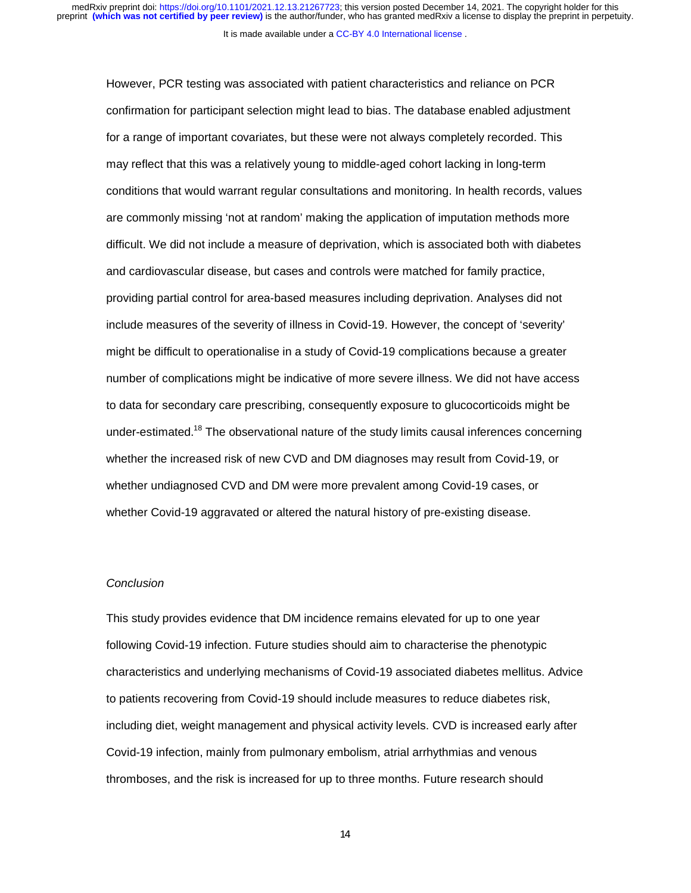However, PCR testing was associated with patient characteristics and reliance on PCR confirmation for participant selection might lead to bias. The database enabled adjustment for a range of important covariates, but these were not always completely recorded. This may reflect that this was a relatively young to middle-aged cohort lacking in long-term conditions that would warrant regular consultations and monitoring. In health records, values are commonly missing 'not at random' making the application of imputation methods more difficult. We did not include a measure of deprivation, which is associated both with diabetes and cardiovascular disease, but cases and controls were matched for family practice, providing partial control for area-based measures including deprivation. Analyses did not include measures of the severity of illness in Covid-19. However, the concept of 'severity' might be difficult to operationalise in a study of Covid-19 complications because a greater number of complications might be indicative of more severe illness. We did not have access to data for secondary care prescribing, consequently exposure to glucocorticoids might be under-estimated.<sup>18</sup> The observational nature of the study limits causal inferences concerning whether the increased risk of new CVD and DM diagnoses may result from Covid-19, or whether undiagnosed CVD and DM were more prevalent among Covid-19 cases, or whether Covid-19 aggravated or altered the natural history of pre-existing disease.

## *Conclusion*

This study provides evidence that DM incidence remains elevated for up to one year following Covid-19 infection. Future studies should aim to characterise the phenotypic characteristics and underlying mechanisms of Covid-19 associated diabetes mellitus. Advice to patients recovering from Covid-19 should include measures to reduce diabetes risk, including diet, weight management and physical activity levels. CVD is increased early after Covid-19 infection, mainly from pulmonary embolism, atrial arrhythmias and venous thromboses, and the risk is increased for up to three months. Future research should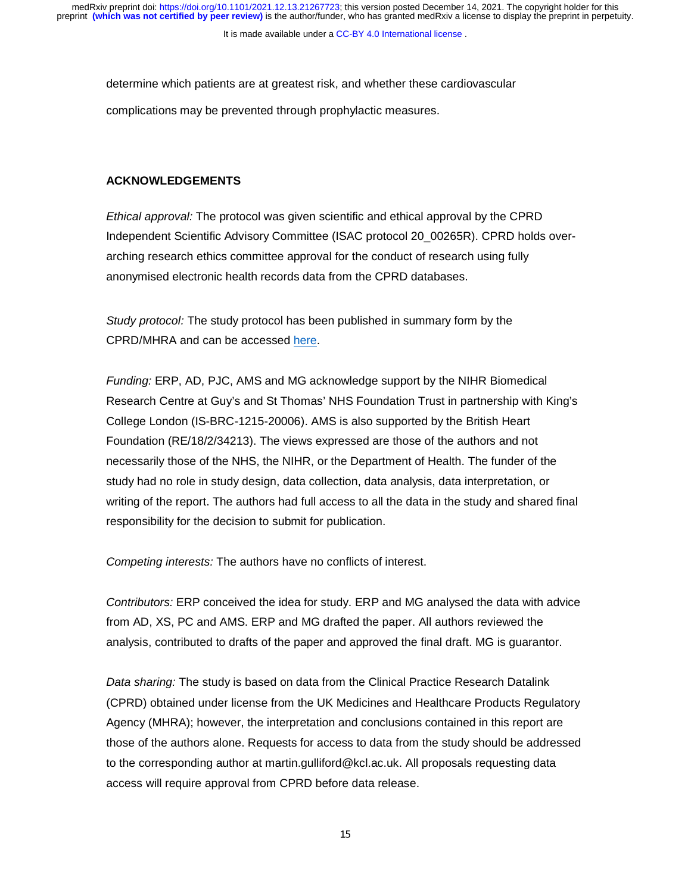determine which patients are at greatest risk, and whether these cardiovascular complications may be prevented through prophylactic measures.

## **ACKNOWLEDGEMENTS**

*Ethical approval:* The protocol was given scientific and ethical approval by the CPRD Independent Scientific Advisory Committee (ISAC protocol 20\_00265R). CPRD holds overarching research ethics committee approval for the conduct of research using fully anonymised electronic health records data from the CPRD databases.

*Study protocol:* The study protocol has been published in summary form by the CPRD/MHRA and can be accessed here.

*Funding:* ERP, AD, PJC, AMS and MG acknowledge support by the NIHR Biomedical Research Centre at Guy's and St Thomas' NHS Foundation Trust in partnership with King's College London (IS-BRC-1215-20006). AMS is also supported by the British Heart Foundation (RE/18/2/34213). The views expressed are those of the authors and not necessarily those of the NHS, the NIHR, or the Department of Health. The funder of the study had no role in study design, data collection, data analysis, data interpretation, or writing of the report. The authors had full access to all the data in the study and shared final responsibility for the decision to submit for publication.

*Competing interests:* The authors have no conflicts of interest.

*Contributors:* ERP conceived the idea for study. ERP and MG analysed the data with advice from AD, XS, PC and AMS. ERP and MG drafted the paper. All authors reviewed the analysis, contributed to drafts of the paper and approved the final draft. MG is guarantor.

*Data sharing:* The study is based on data from the Clinical Practice Research Datalink (CPRD) obtained under license from the UK Medicines and Healthcare Products Regulatory Agency (MHRA); however, the interpretation and conclusions contained in this report are those of the authors alone. Requests for access to data from the study should be addressed to the corresponding author at martin.gulliford@kcl.ac.uk. All proposals requesting data access will require approval from CPRD before data release.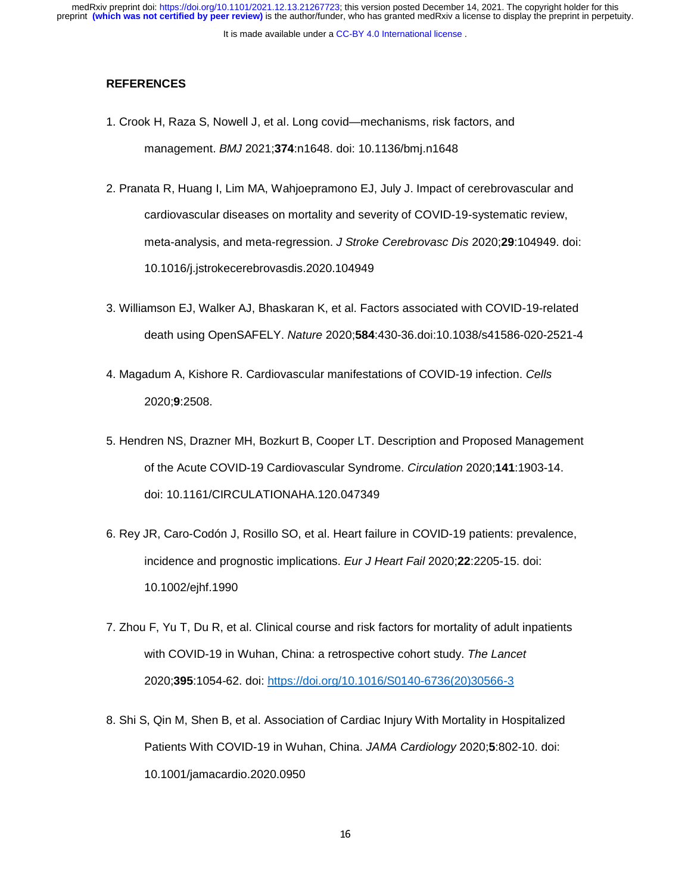# **REFERENCES**

- 1. Crook H, Raza S, Nowell J, et al. Long covid—mechanisms, risk factors, and management. *BMJ* 2021;**374**:n1648. doi: 10.1136/bmj.n1648
- 2. Pranata R, Huang I, Lim MA, Wahjoepramono EJ, July J. Impact of cerebrovascular and cardiovascular diseases on mortality and severity of COVID-19-systematic review, meta-analysis, and meta-regression. *J Stroke Cerebrovasc Dis* 2020;**29**:104949. doi: 10.1016/j.jstrokecerebrovasdis.2020.104949
- 3. Williamson EJ, Walker AJ, Bhaskaran K, et al. Factors associated with COVID-19-related death using OpenSAFELY. *Nature* 2020;**584**:430-36.doi:10.1038/s41586-020-2521-4
- 4. Magadum A, Kishore R. Cardiovascular manifestations of COVID-19 infection. *Cells* 2020;**9**:2508.
- 5. Hendren NS, Drazner MH, Bozkurt B, Cooper LT. Description and Proposed Management of the Acute COVID-19 Cardiovascular Syndrome. *Circulation* 2020;**141**:1903-14. doi: 10.1161/CIRCULATIONAHA.120.047349
- 6. Rey JR, Caro-Codón J, Rosillo SO, et al. Heart failure in COVID-19 patients: prevalence, incidence and prognostic implications. *Eur J Heart Fail* 2020;**22**:2205-15. doi: 10.1002/ejhf.1990
- 7. Zhou F, Yu T, Du R, et al. Clinical course and risk factors for mortality of adult inpatients with COVID-19 in Wuhan, China: a retrospective cohort study. *The Lancet* 2020;**395**:1054-62. doi: https://doi.org/10.1016/S0140-6736(20)30566-3
- 8. Shi S, Qin M, Shen B, et al. Association of Cardiac Injury With Mortality in Hospitalized Patients With COVID-19 in Wuhan, China. *JAMA Cardiology* 2020;**5**:802-10. doi: 10.1001/jamacardio.2020.0950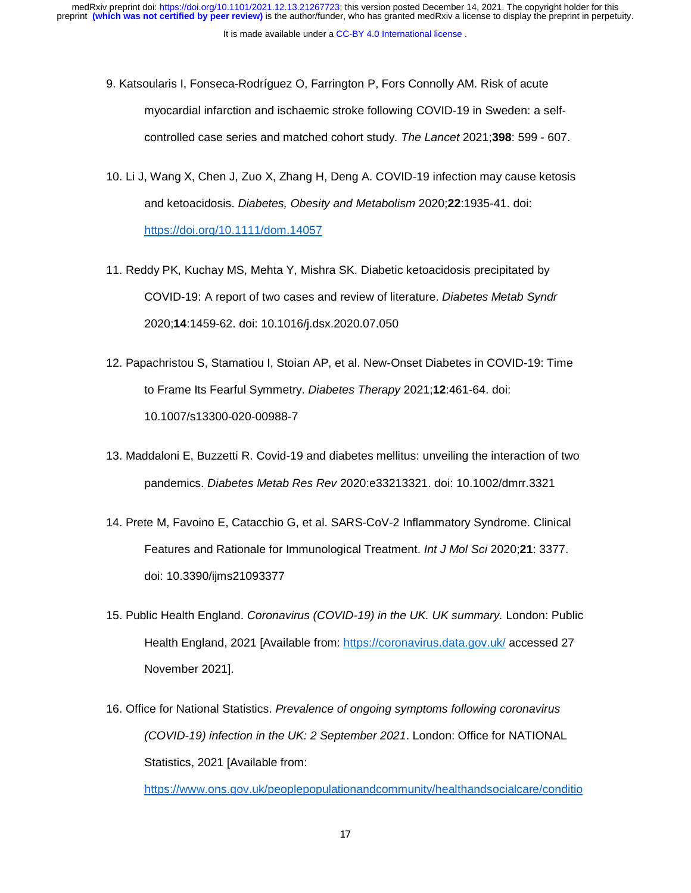- 9. Katsoularis I, Fonseca-Rodríguez O, Farrington P, Fors Connolly AM. Risk of acute myocardial infarction and ischaemic stroke following COVID-19 in Sweden: a selfcontrolled case series and matched cohort study. *The Lancet* 2021;**398**: 599 - 607.
- 10. Li J, Wang X, Chen J, Zuo X, Zhang H, Deng A. COVID-19 infection may cause ketosis and ketoacidosis. *Diabetes, Obesity and Metabolism* 2020;**22**:1935-41. doi: https://doi.org/10.1111/dom.14057
- 11. Reddy PK, Kuchay MS, Mehta Y, Mishra SK. Diabetic ketoacidosis precipitated by COVID-19: A report of two cases and review of literature. *Diabetes Metab Syndr* 2020;**14**:1459-62. doi: 10.1016/j.dsx.2020.07.050
- 12. Papachristou S, Stamatiou I, Stoian AP, et al. New-Onset Diabetes in COVID-19: Time to Frame Its Fearful Symmetry. *Diabetes Therapy* 2021;**12**:461-64. doi: 10.1007/s13300-020-00988-7
- 13. Maddaloni E, Buzzetti R. Covid-19 and diabetes mellitus: unveiling the interaction of two pandemics. *Diabetes Metab Res Rev* 2020:e33213321. doi: 10.1002/dmrr.3321
- 14. Prete M, Favoino E, Catacchio G, et al. SARS-CoV-2 Inflammatory Syndrome. Clinical Features and Rationale for Immunological Treatment. *Int J Mol Sci* 2020;**21**: 3377. doi: 10.3390/ijms21093377
- 15. Public Health England. *Coronavirus (COVID-19) in the UK. UK summary.* London: Public Health England, 2021 [Available from: https://coronavirus.data.gov.uk/ accessed 27 November 2021].
- 16. Office for National Statistics. *Prevalence of ongoing symptoms following coronavirus (COVID-19) infection in the UK: 2 September 2021*. London: Office for NATIONAL Statistics, 2021 [Available from:

https://www.ons.gov.uk/peoplepopulationandcommunity/healthandsocialcare/conditio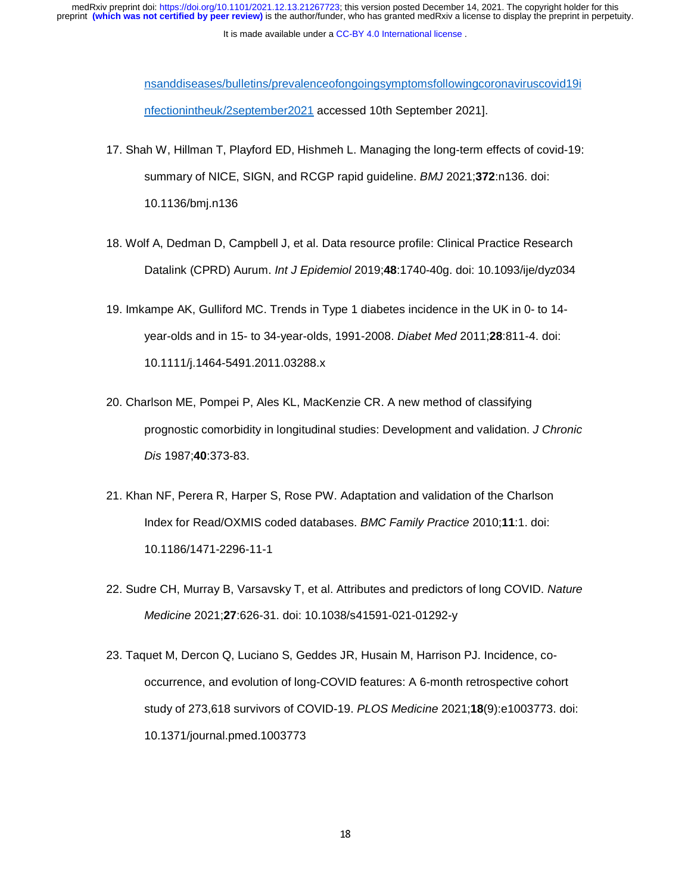It is made available under a [CC-BY 4.0 International license](http://creativecommons.org/licenses/by/4.0/) .

nsanddiseases/bulletins/prevalenceofongoingsymptomsfollowingcoronaviruscovid19i nfectionintheuk/2september2021 accessed 10th September 2021].

- 17. Shah W, Hillman T, Playford ED, Hishmeh L. Managing the long-term effects of covid-19: summary of NICE, SIGN, and RCGP rapid guideline. *BMJ* 2021;**372**:n136. doi: 10.1136/bmj.n136
- 18. Wolf A, Dedman D, Campbell J, et al. Data resource profile: Clinical Practice Research Datalink (CPRD) Aurum. *Int J Epidemiol* 2019;**48**:1740-40g. doi: 10.1093/ije/dyz034
- 19. Imkampe AK, Gulliford MC. Trends in Type 1 diabetes incidence in the UK in 0- to 14 year-olds and in 15- to 34-year-olds, 1991-2008. *Diabet Med* 2011;**28**:811-4. doi: 10.1111/j.1464-5491.2011.03288.x
- 20. Charlson ME, Pompei P, Ales KL, MacKenzie CR. A new method of classifying prognostic comorbidity in longitudinal studies: Development and validation. *J Chronic Dis* 1987;**40**:373-83.
- 21. Khan NF, Perera R, Harper S, Rose PW. Adaptation and validation of the Charlson Index for Read/OXMIS coded databases. *BMC Family Practice* 2010;**11**:1. doi: 10.1186/1471-2296-11-1
- 22. Sudre CH, Murray B, Varsavsky T, et al. Attributes and predictors of long COVID. *Nature Medicine* 2021;**27**:626-31. doi: 10.1038/s41591-021-01292-y
- 23. Taquet M, Dercon Q, Luciano S, Geddes JR, Husain M, Harrison PJ. Incidence, cooccurrence, and evolution of long-COVID features: A 6-month retrospective cohort study of 273,618 survivors of COVID-19. *PLOS Medicine* 2021;**18**(9):e1003773. doi: 10.1371/journal.pmed.1003773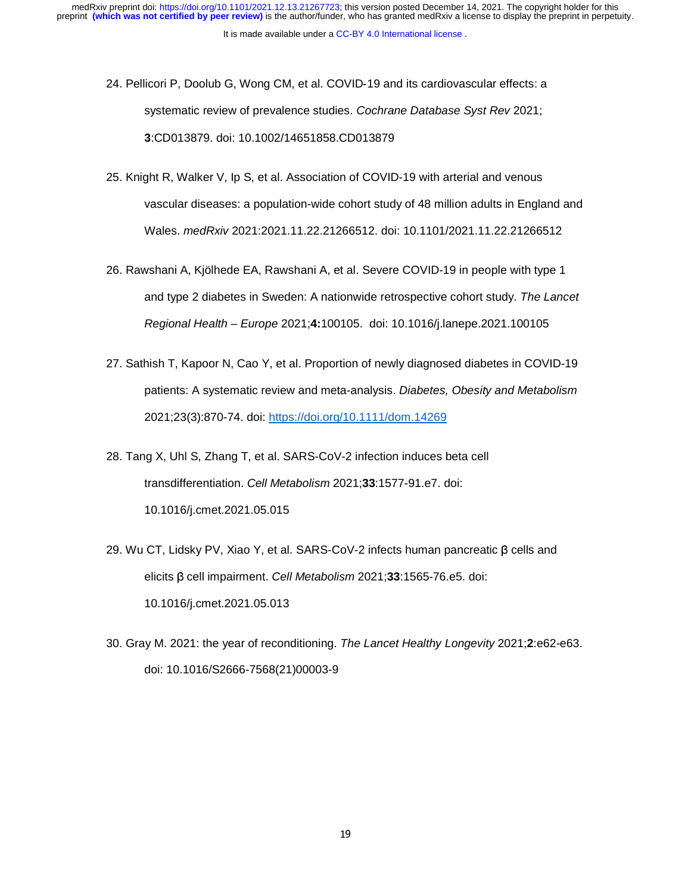- 24. Pellicori P, Doolub G, Wong CM, et al. COVID-19 and its cardiovascular effects: a -19 and its cardiovascular effects: a<br>:<br>coc*hrane Database Syst Rev* 2021;<br>12879 systematic review of prevalence studies. *Cochrane Database Syst Rev* 2021; **3**:CD013879. doi: 10.1002/14651858.CD013879
- 25. Knight R, Walker V, Ip S, et al. Association of COVID-19 with arterial and venous vascular diseases: a population-wide cohort study of 48 million adults in England and Wales. *medRxiv* 2021:2021.11.22.21266512. doi: 10.1101/2021.11.22.21266512
- 26. Rawshani A, Kjölhede EA, Rawshani A, et al. Severe COVID-19 in people with type 1 and type 2 diabetes in Sweden: A nationwide retrospective cohort study. *The Lancet Regional Health – Europe* 2021;**4:**100105. doi: 10.1016/j.lanepe.2021.100105
- 27. Sathish T, Kapoor N, Cao Y, et al. Proportion of newly diagnosed diabetes in COVID-19 patients: A systematic review and meta-analysis. *Diabetes, Obesity and Metabolism* 2021;23(3):870-74. doi: https://doi.org/10.1111/dom.14269
- 28. Tang X, Uhl S, Zhang T, et al. SARS-CoV-2 infection induces beta cell transdifferentiation. *Cell Metabolism* 2021;**33**:1577-91.e7. doi: 10.1016/j.cmet.2021.05.015
- 29. Wu CT, Lidsky PV, Xiao Y, et al. SARS-CoV-2 infects human pancreatic β cells and elicits β cell impairment. *Cell Metabolism* 2021;**33**:1565-76.e5. doi: 10.1016/j.cmet.2021.05.013
- 30. Gray M. 2021: the year of reconditioning. *The Lancet Healthy Longevity* 2021;**2**:e62-e63. doi: 10.1016/S2666-7568(21)00003-9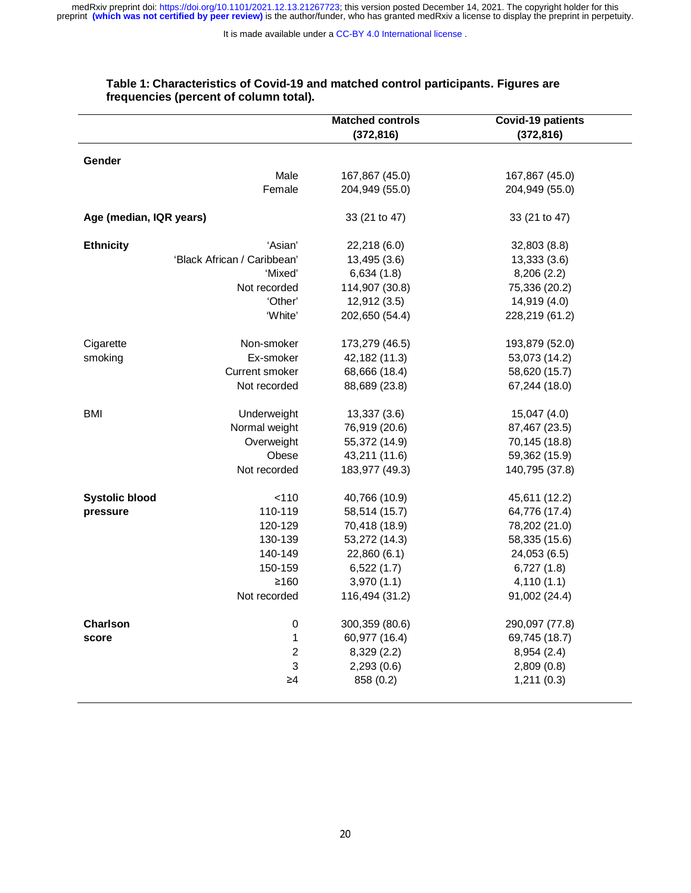It is made available under a CC-BY 4.0 International license.

|                         |                             | <b>Matched controls</b> | <b>Covid-19 patients</b> |
|-------------------------|-----------------------------|-------------------------|--------------------------|
|                         |                             | (372, 816)              | (372, 816)               |
|                         |                             |                         |                          |
| Gender                  |                             |                         |                          |
|                         | Male                        | 167,867 (45.0)          | 167,867 (45.0)           |
|                         | Female                      | 204,949 (55.0)          | 204,949 (55.0)           |
| Age (median, IQR years) |                             | 33 (21 to 47)           | 33 (21 to 47)            |
| <b>Ethnicity</b>        | 'Asian'                     | 22,218 (6.0)            | 32,803 (8.8)             |
|                         | 'Black African / Caribbean' | 13,495 (3.6)            | 13,333 (3.6)             |
|                         | 'Mixed'                     | 6,634(1.8)              | 8,206(2.2)               |
|                         | Not recorded                | 114,907 (30.8)          | 75,336 (20.2)            |
|                         | 'Other'                     | 12,912 (3.5)            | 14,919 (4.0)             |
|                         | 'White'                     | 202,650 (54.4)          | 228,219 (61.2)           |
| Cigarette               | Non-smoker                  | 173,279 (46.5)          | 193,879 (52.0)           |
| smoking                 | Ex-smoker                   | 42,182 (11.3)           | 53,073 (14.2)            |
|                         | Current smoker              | 68,666 (18.4)           | 58,620 (15.7)            |
|                         | Not recorded                | 88,689 (23.8)           | 67,244 (18.0)            |
| <b>BMI</b>              | Underweight                 | 13,337 (3.6)            | 15,047 (4.0)             |
|                         | Normal weight               | 76,919 (20.6)           | 87,467 (23.5)            |
|                         | Overweight                  | 55,372 (14.9)           | 70,145 (18.8)            |
|                         | Obese                       | 43,211 (11.6)           | 59,362 (15.9)            |
|                         | Not recorded                | 183,977 (49.3)          | 140,795 (37.8)           |
| <b>Systolic blood</b>   | < 110                       | 40,766 (10.9)           | 45,611 (12.2)            |
| pressure                | 110-119                     | 58,514 (15.7)           | 64,776 (17.4)            |
|                         | 120-129                     | 70,418 (18.9)           | 78,202 (21.0)            |
|                         | 130-139                     | 53,272 (14.3)           | 58,335 (15.6)            |
|                         | 140-149                     | 22,860 (6.1)            | 24,053 (6.5)             |
|                         | 150-159                     | 6,522(1.7)              | 6,727(1.8)               |
|                         | ≥160                        | 3,970(1.1)              | 4,110(1.1)               |
|                         | Not recorded                | 116,494 (31.2)          | 91,002 (24.4)            |
| <b>Charlson</b>         | $\mathbf 0$                 | 300,359 (80.6)          | 290,097 (77.8)           |
| score                   | 1                           | 60,977 (16.4)           | 69,745 (18.7)            |
|                         | $\boldsymbol{2}$            | 8,329 (2.2)             | 8,954(2.4)               |
|                         | $\mathsf 3$                 | 2,293(0.6)              | 2,809(0.8)               |
|                         | $\geq 4$                    | 858 (0.2)               | 1,211(0.3)               |

## **Table 1: Characteristics of Covid-19 and matched control participants. Figures are frequencies (percent of column total).**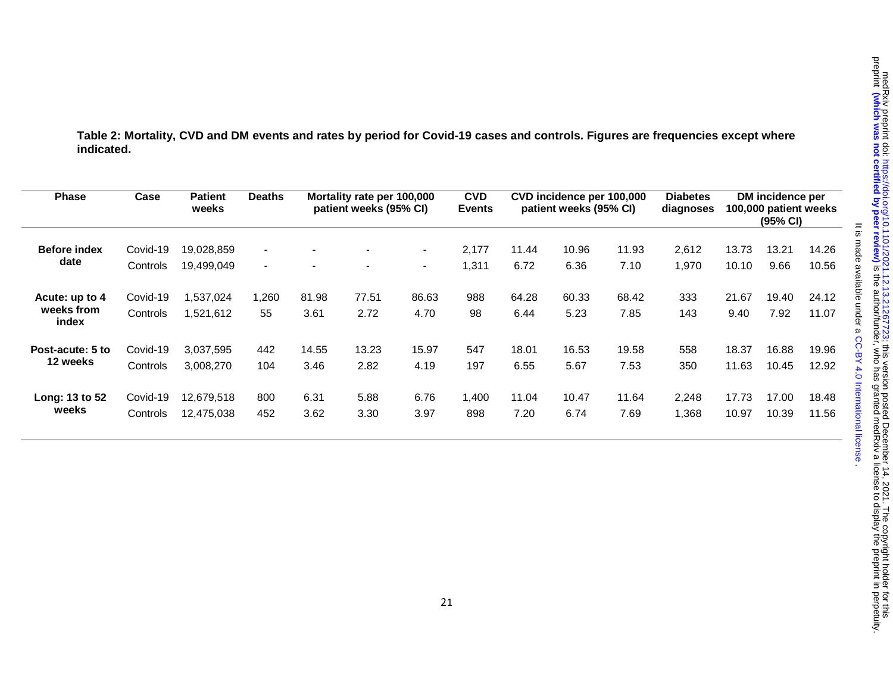. [CC-BY 4.0 International license](http://creativecommons.org/licenses/by/4.0/) It is made available under a

It is made available under a CC-BY 4.0 International license

**Table 2: Mortality, CVD and DM events and rates by period for Covid-19 cases and controls. Figures are frequencies except where indicated.** 

| <b>Phase</b>                          | Case                 | <b>Patient</b><br>weeks | <b>Deaths</b>  |               | Mortality rate per 100,000<br>patient weeks (95% CI) |                | <b>CVD</b><br><b>Events</b> |               | CVD incidence per 100,000<br>patient weeks (95% CI) |               | <b>Diabetes</b><br>diagnoses |               | DM incidence per<br>100,000 patient weeks<br>$(95% \, \text{Cl})$ |                |
|---------------------------------------|----------------------|-------------------------|----------------|---------------|------------------------------------------------------|----------------|-----------------------------|---------------|-----------------------------------------------------|---------------|------------------------------|---------------|-------------------------------------------------------------------|----------------|
| <b>Before index</b>                   | Covid-19             | 19,028,859              | $\blacksquare$ |               | $\blacksquare$                                       | $\blacksquare$ | 2.177                       | 11.44         | 10.96                                               | 11.93         | 2,612                        | 13.73         | 13.21                                                             | 14.26          |
| date                                  | Controls             | 19,499,049              | $\blacksquare$ |               | $\blacksquare$                                       | $\blacksquare$ | 1,311                       | 6.72          | 6.36                                                | 7.10          | 1,970                        | 10.10         | 9.66                                                              | 10.56          |
| Acute: up to 4<br>weeks from<br>index | Covid-19<br>Controls | ,537,024<br>1.521.612   | ,260<br>55     | 81.98<br>3.61 | 77.51<br>2.72                                        | 86.63<br>4.70  | 988<br>98                   | 64.28<br>6.44 | 60.33<br>5.23                                       | 68.42<br>7.85 | 333<br>143                   | 21.67<br>9.40 | 19.40<br>7.92                                                     | 24.12<br>11.07 |
| Post-acute: 5 to                      | Covid-19             | 3,037,595               | 442            | 14.55         | 13.23                                                | 15.97          | 547                         | 18.01         | 16.53                                               | 19.58         | 558                          | 18.37         | 16.88                                                             | 19.96          |
| 12 weeks                              | Controls             | 3,008,270               | 104            | 3.46          | 2.82                                                 | 4.19           | 197                         | 6.55          | 5.67                                                | 7.53          | 350                          | 11.63         | 10.45                                                             | 12.92          |
| Long: 13 to 52                        | Covid-19             | 12,679,518              | 800            | 6.31          | 5.88                                                 | 6.76           | 1,400                       | 11.04         | 10.47                                               | 11.64         | 2,248                        | 17.73         | 17.00                                                             | 18.48          |
| weeks                                 | Controls             | 12,475,038              | 452            | 3.62          | 3.30                                                 | 3.97           | 898                         | 7.20          | 6.74                                                | 7.69          | 1,368                        | 10.97         | 10.39                                                             | 11.56          |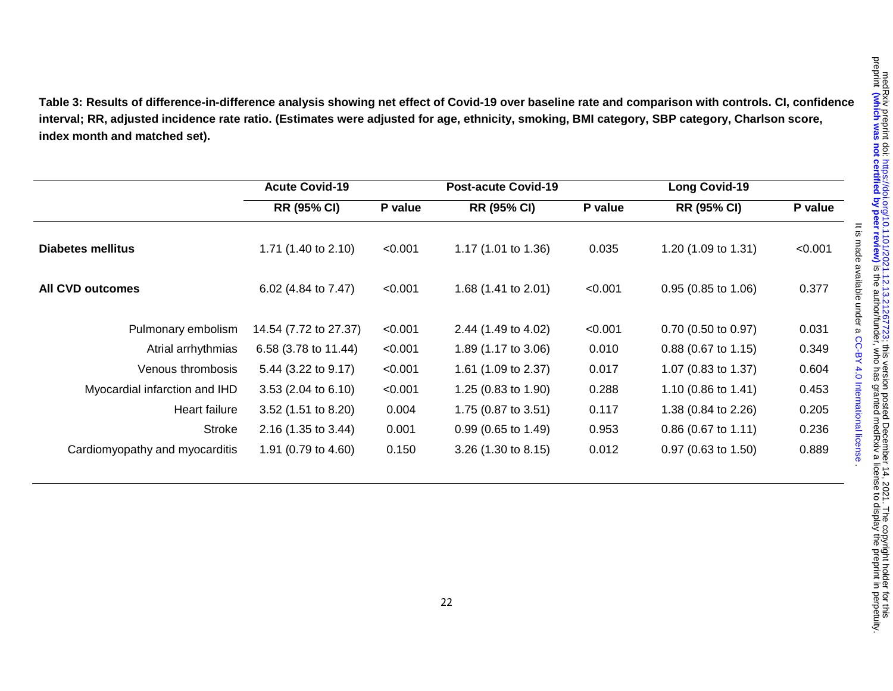**Table 3: Results of difference-in-difference analysis showing net effect of Covid-19 over baseline rate and comparison with controls. CI, confidence interval; RR, adjusted incidence rate ratio. (Estimates were adjusted for age, ethnicity, smoking, BMI category, SBP category, Charlson score, index month and matched set).** 

|                                | <b>Acute Covid-19</b> |         | <b>Post-acute Covid-19</b>     |         | <b>Long Covid-19</b>  |         |  |
|--------------------------------|-----------------------|---------|--------------------------------|---------|-----------------------|---------|--|
|                                | <b>RR (95% CI)</b>    | P value | <b>RR (95% CI)</b>             | P value | <b>RR (95% CI)</b>    | P value |  |
| Diabetes mellitus              | 1.71 (1.40 to 2.10)   | < 0.001 | 1.17 (1.01 to 1.36)            | 0.035   | 1.20 (1.09 to 1.31)   | < 0.001 |  |
| All CVD outcomes               | 6.02 (4.84 to 7.47)   | < 0.001 | 1.68 $(1.41 \text{ to } 2.01)$ | < 0.001 | $0.95$ (0.85 to 1.06) | 0.377   |  |
| Pulmonary embolism             | 14.54 (7.72 to 27.37) | < 0.001 | 2.44 (1.49 to 4.02)            | < 0.001 | $0.70$ (0.50 to 0.97) | 0.031   |  |
| Atrial arrhythmias             | 6.58 (3.78 to 11.44)  | < 0.001 | 1.89 (1.17 to 3.06)            | 0.010   | $0.88$ (0.67 to 1.15) | 0.349   |  |
| Venous thrombosis              | 5.44 (3.22 to 9.17)   | < 0.001 | 1.61 (1.09 to 2.37)            | 0.017   | 1.07 (0.83 to 1.37)   | 0.604   |  |
| Myocardial infarction and IHD  | $3.53$ (2.04 to 6.10) | < 0.001 | 1.25 $(0.83 \text{ to } 1.90)$ | 0.288   | 1.10 (0.86 to 1.41)   | 0.453   |  |
| Heart failure                  | 3.52 (1.51 to 8.20)   | 0.004   | 1.75 (0.87 to 3.51)            | 0.117   | 1.38 (0.84 to 2.26)   | 0.205   |  |
| Stroke                         | 2.16 (1.35 to 3.44)   | 0.001   | $0.99(0.65 \text{ to } 1.49)$  | 0.953   | $0.86$ (0.67 to 1.11) | 0.236   |  |
| Cardiomyopathy and myocarditis | 1.91 (0.79 to 4.60)   | 0.150   | 3.26(1.30 to 8.15)             | 0.012   | $0.97$ (0.63 to 1.50) | 0.889   |  |

. [CC-BY 4.0 International license](http://creativecommons.org/licenses/by/4.0/) It is made available under a

It is made available under a CC-BY 4.0 International license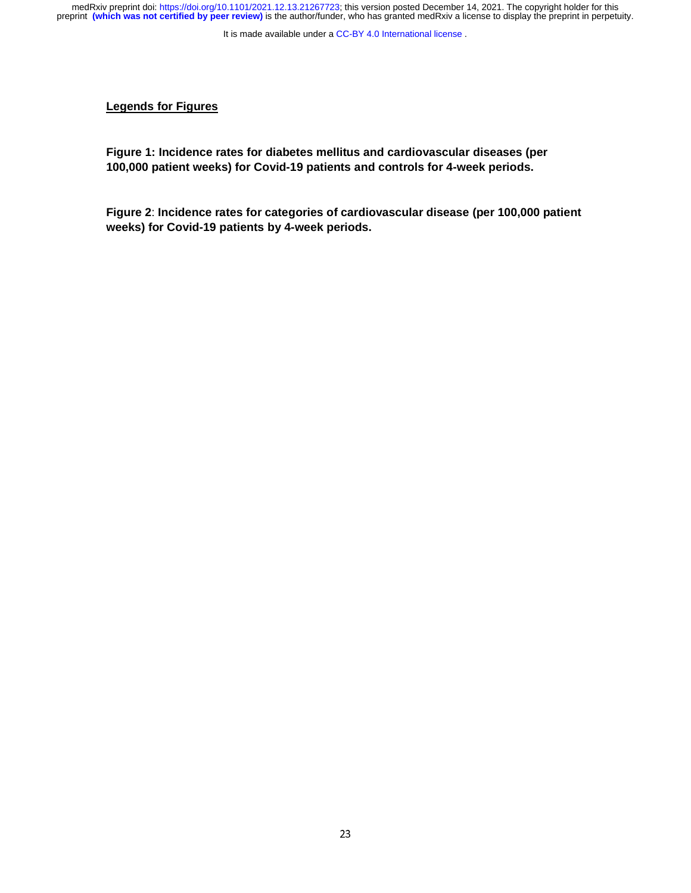It is made available under a [CC-BY 4.0 International license](http://creativecommons.org/licenses/by/4.0/) .

# **Legends for Figures**

**Figure 1: Incidence rates for diabetes mellitus and cardiovascular diseases (per 100,000 patient weeks) for Covid-19 patients and controls for 4-week periods.** 

**Figure 2**: **Incidence rates for categories of cardiovascular disease (per 100,000 patient weeks) for Covid-19 patients by 4-week periods.**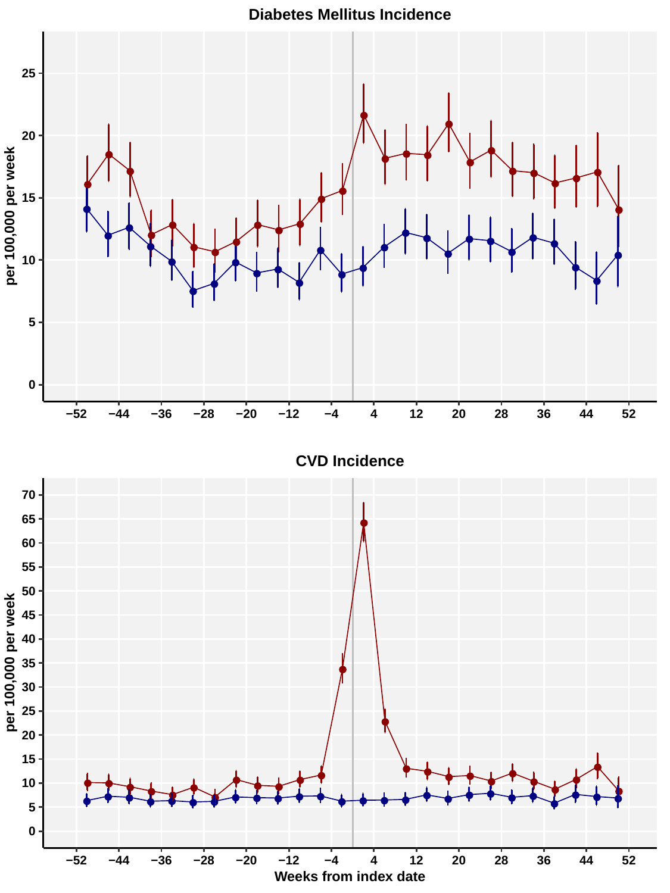**Diabetes Mellitus Incidence**